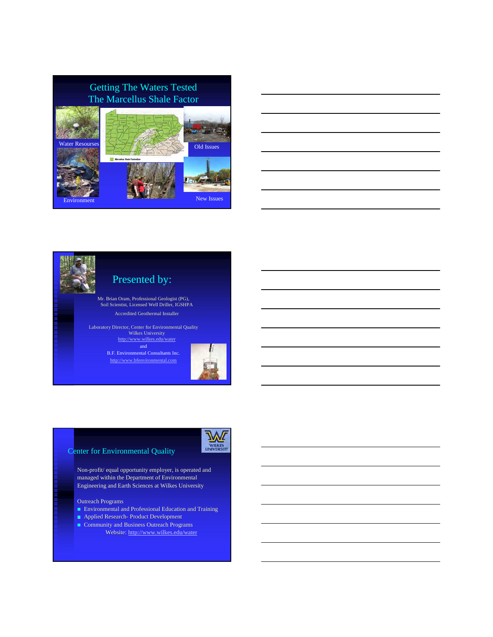





and B.F. Environmental Consultants Inc.

http://www.bfenvironmental.com



#### Center for Environmental Quality

Non-profit/ equal opportunity employer, is operated and managed within the Department of Environmental Engineering and Earth Sciences at Wilkes University

#### Outreach Programs

- $\blacksquare$  Environmental and Professional Education and Training
- **Applied Research- Product Development**
- Community and Business Outreach Programs
	- Website: http://www.wilkes.edu/water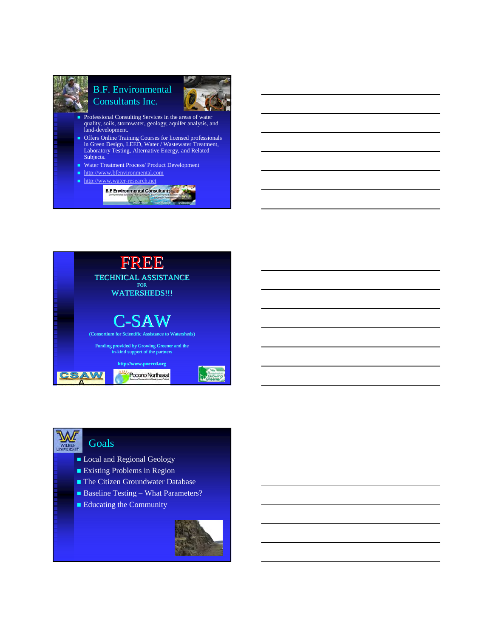

Courtimer





# **Goals**

- Local and Regional Geology
- **Existing Problems in Region**
- The Citizen Groundwater Database
- Baseline Testing What Parameters?
- Educating the Community

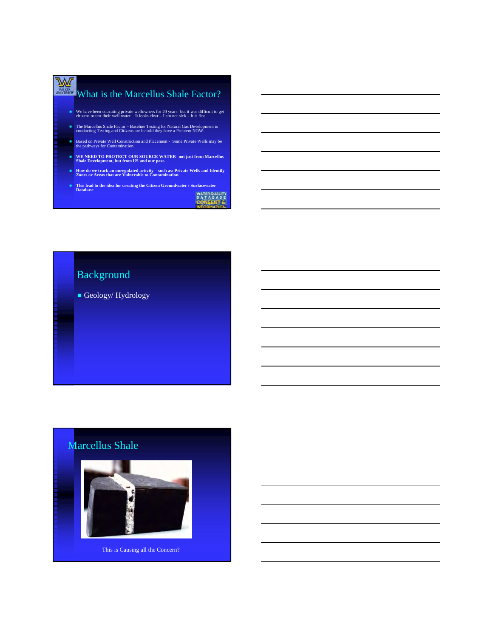# We What is the Marcellus Shale Factor?

- We have been educating private wellowners for 20 years- but it was difficult to get citizens to test their well water. It looks clear I am not sick It is fine.
- The Marcellus Shale Factor Baseline Testing for Natural Gas Development is conducting Testing and Citizens are be told they have a Problem NOW.
- Based on Private Well Construction and Placement Some Private Wells may be the pathways for Contamination.
- **WE NEED TO PROTECT OUR SOURCE WATER- not just from Marcellus Shale Development, but from US and our past.**
- **How do we track an unregulated activity such as: Private Wells and Identify Zones or Areas that are Vulnerable to Contamination.**
- **This lead to the idea for creating the Citizen Groundwater / Surfacewater Database**

WATER QUALITY<br>D A T A B A S E

# Background

Geology/Hydrology

# Marcellus Shale

This is Causing all the Concern?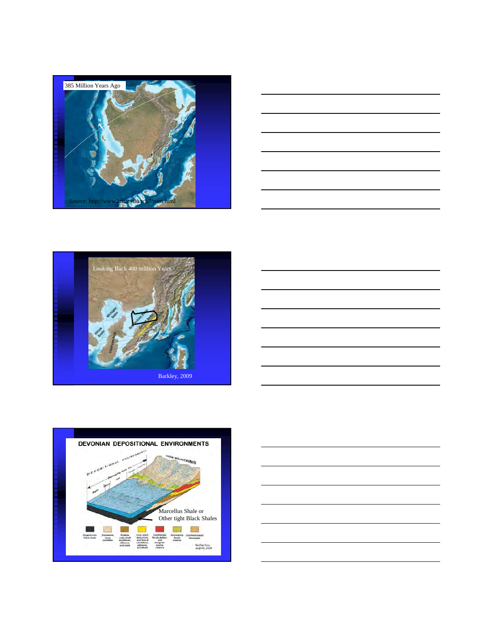









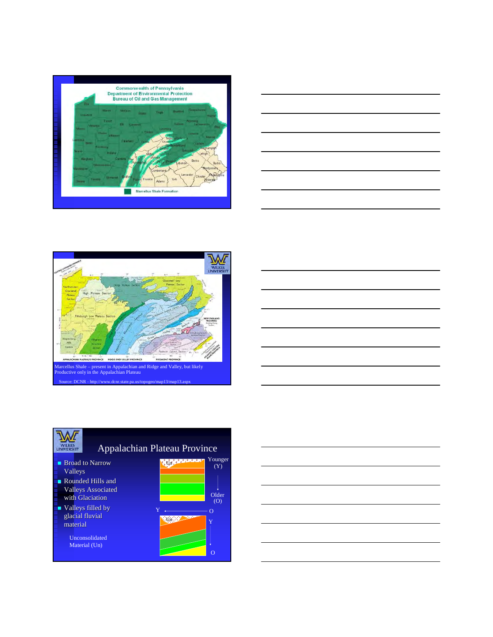









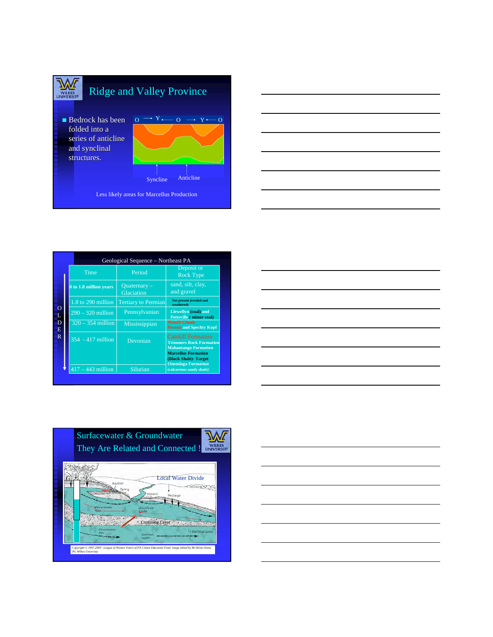



|                         |                        | Geological Sequence – Northeast PA |                                                                                                                                                                                                                                                                                                                                           |  |
|-------------------------|------------------------|------------------------------------|-------------------------------------------------------------------------------------------------------------------------------------------------------------------------------------------------------------------------------------------------------------------------------------------------------------------------------------------|--|
| ∩<br>D<br>E             | Time                   | Period                             | Deposit or<br><b>Rock Type</b>                                                                                                                                                                                                                                                                                                            |  |
|                         | 0 to 1.8 million years | $Quaternary-$<br>Glaciation        | sand, silt, clay,<br>and gravel<br>Not present (eroded and<br>weathered)<br>Llewellyn (coal) and<br>Pottsville (minor coal)<br><b>Mauch Chunk</b><br><b>Pocono and Spechty Kopf</b><br><b>Catskill Formation</b><br><b>Trimmers Rock Formation</b><br><b>Mahantango Formation</b><br><b>Marcellus Formation</b><br>(Black Shale) - Target |  |
|                         | 1.8 to 290 million     | <b>Tertiary to Permian</b>         |                                                                                                                                                                                                                                                                                                                                           |  |
|                         | $290 - 320$ million    | Pennsylvanian                      |                                                                                                                                                                                                                                                                                                                                           |  |
|                         | $320 - 354$ million    | Mississippian                      |                                                                                                                                                                                                                                                                                                                                           |  |
| $\overline{\mathbf{R}}$ | $354 - 417$ million    | Devonian                           |                                                                                                                                                                                                                                                                                                                                           |  |
|                         | $417 - 443$ million    | Silurian                           | <b>Onondaga Formation</b><br>(calcareous sandy shale)                                                                                                                                                                                                                                                                                     |  |

| <u> 1989 - Andrea Andrew Maria a Carlo Maria a Carlo Maria a Carlo Maria a Carlo Maria a Carlo Maria a Carlo Mar</u> |  |     |
|----------------------------------------------------------------------------------------------------------------------|--|-----|
|                                                                                                                      |  |     |
|                                                                                                                      |  |     |
|                                                                                                                      |  |     |
|                                                                                                                      |  |     |
|                                                                                                                      |  |     |
|                                                                                                                      |  |     |
|                                                                                                                      |  |     |
|                                                                                                                      |  |     |
|                                                                                                                      |  |     |
|                                                                                                                      |  |     |
|                                                                                                                      |  |     |
| <u> 1989 - Andrea Stadt Britain, amerikansk politik (d. 1989)</u>                                                    |  |     |
|                                                                                                                      |  |     |
|                                                                                                                      |  |     |
|                                                                                                                      |  |     |
|                                                                                                                      |  |     |
|                                                                                                                      |  |     |
| <u> 1989 - Johann Barnett, fransk politiker (d. 1989)</u>                                                            |  |     |
|                                                                                                                      |  |     |
|                                                                                                                      |  |     |
|                                                                                                                      |  |     |
|                                                                                                                      |  |     |
|                                                                                                                      |  |     |
|                                                                                                                      |  | ___ |
|                                                                                                                      |  |     |
|                                                                                                                      |  |     |
|                                                                                                                      |  |     |
|                                                                                                                      |  |     |
|                                                                                                                      |  |     |
| <u> Andreas Andreas Andreas Andreas Andreas Andreas Andreas Andreas Andreas Andreas Andreas Andreas Andreas Andr</u> |  |     |
|                                                                                                                      |  |     |
|                                                                                                                      |  |     |
|                                                                                                                      |  |     |
|                                                                                                                      |  |     |
|                                                                                                                      |  |     |
|                                                                                                                      |  |     |

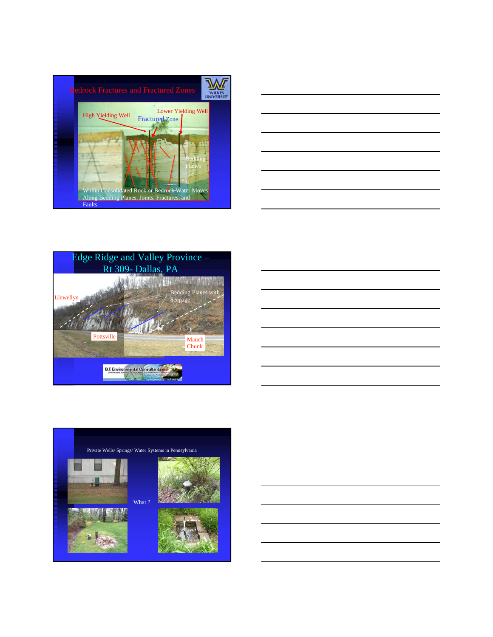







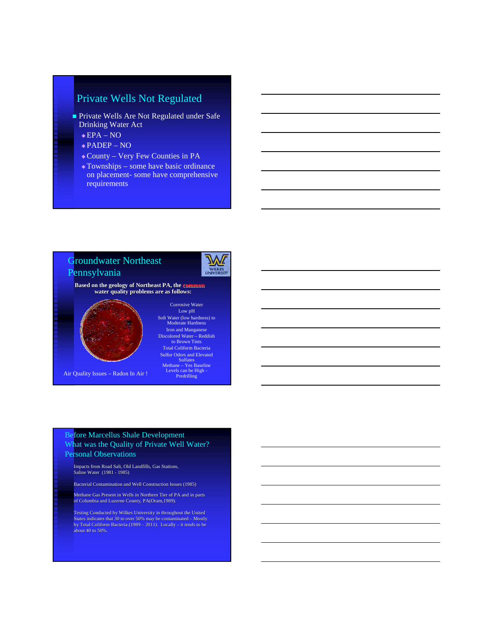# Private Wells Not Regulated

- Private Wells Are Not Regulated under Safe Drinking Water Act
	- $\bullet$  EPA NO
	- PADEP NO
	- County Very Few Counties in PA
	- Townships some have basic ordinance on placement- some have comprehensive requirements



#### Before Marcellus Shale Development What was the Quality of Private Well Water? Personal Observations

Impacts from Road Salt, Old Landfills, Gas Stations, Saline Water (1981 - 1985)

Bacterial Contamination and Well Construction Issues (1985)

Methane Gas Present in Wells in Northern Tier of PA and in parts of Columbia and Luzerne County, PA(Oram,1989).

Testing Conducted by Wilkes University in throughout the United States indicates that 30 to over 50% may be contaminated – Mostly by Total Coliform Bacteria (1989 – 2011). Locally – it tends to be about 40 to 50%.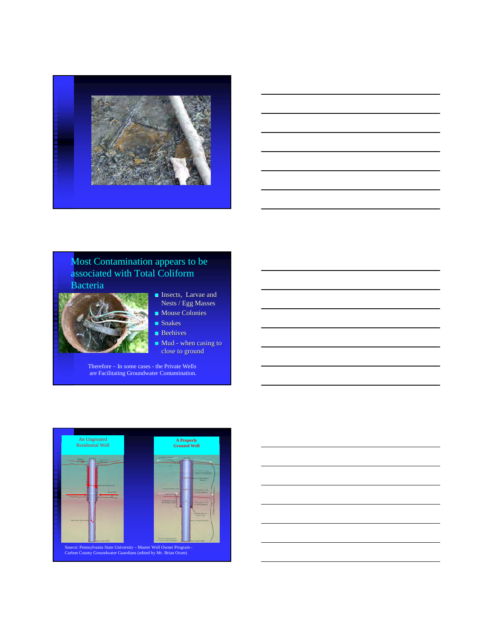

## Most Contamination appears to be associated with Total Coliform Bacteria



- **Insects**, Larvae and Nests / Egg Masses
- Mouse Colonies Snakes
- **Beehives**
- Mud when casing to close to ground

Therefore – In some cases - the Private Wells are Facilitating Groundwater Contamination.

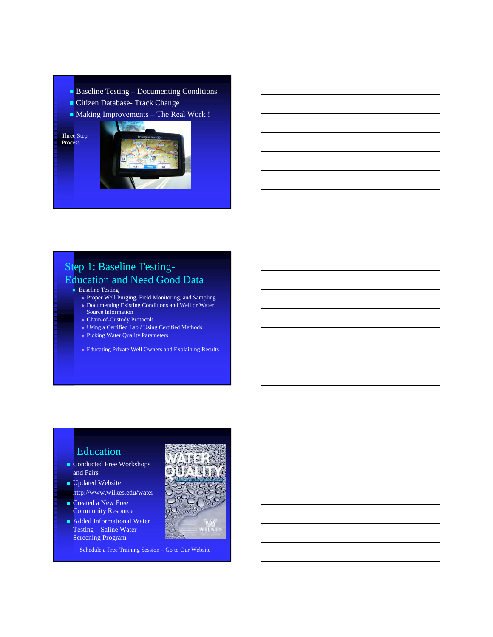- Baseline Testing Documenting Conditions
- Citizen Database- Track Change
- Making Improvements The Real Work !

Three Step Process



# Step 1: Baseline Testing-Education and Need Good Data

- **Baseline Testing** 
	- Proper Well Purging, Field Monitoring, and Sampling - Documenting Existing Conditions and Well or Water Source Information
	- Chain-of-Custody Protocols
	- Using a Certified Lab / Using Certified Methods
	- Picking Water Quality Parameters
	- Educating Private Well Owners and Explaining Results

# Education

- Conducted Free Workshops and Fairs
- **Updated Website** http://www.wilkes.edu/water
- Created a New Free Community Resource
- Added Informational Water Testing – Saline Water Screening Program

Schedule a Free Training Session – Go to Our Website

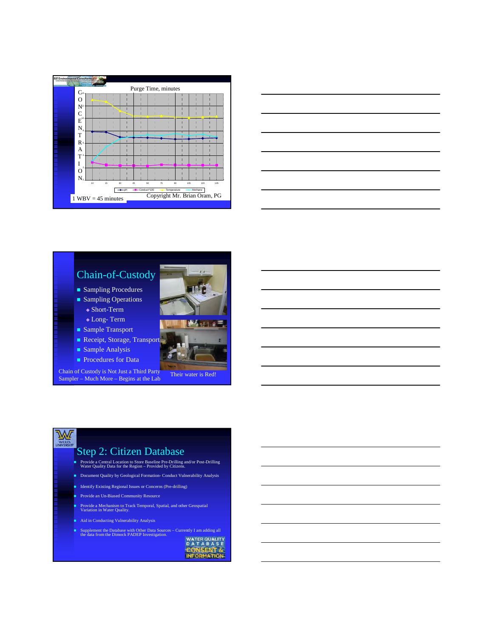



# Chain-of-Custody

- Sampling Procedures Sampling Operations
- ◆ Short-Term
- Long- Term
- Sample Transport
- Receipt, Storage, Transport
- Sample Analysis
- **Procedures for Data**

Chain of Custody is Not Just a Third Party<br>
Their water is Red!

Sampler – Much More – Begins at the Lab



# Step 2: Citizen Database

- Provide a Central Location to Store Baseline Pre-Drilling and/or Post-Drilling Water Quality Data for the Region Provided by Citizens.
- Document Quality by Geological Formation- Conduct Vulnerability Analysis
- Identify Existing Regional Issues or Concerns (Pre-drilling)
- Provide an Un-Biased Community Resource
- Provide a Mechanism to Track Temporal, Spatial, and other Geospatial Variation in Water Quality.
- Aid in Conducting Vulnerability Analysis
- Supplement the Database with Other Data Sources Currently I am adding all the data from the Dimock PADEP Investigation.

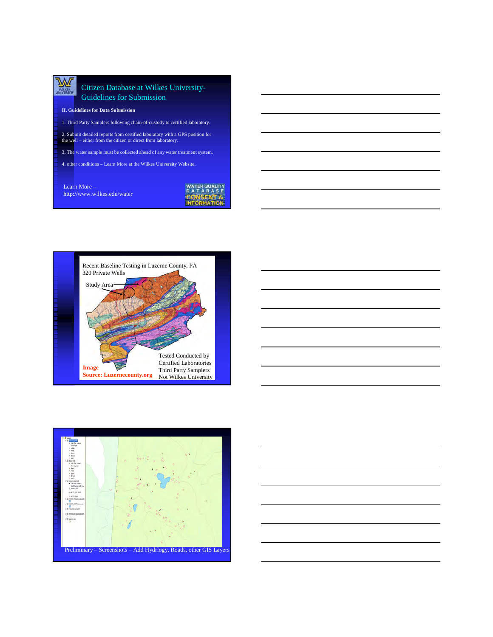

#### Citizen Database at Wilkes University-Guidelines for Submission

#### **II. Guidelines for Data Submission**

1. Third Party Samplers following chain-of-custody to certified laboratory.

2. Submit detailed reports from certified laboratory with a GPS position for the well – either from the citizen or direct from laboratory.

3. The water sample must be collected ahead of any water treatment system.

4. other conditions – Learn More at the Wilkes University Website.

Learn More – http://www.wilkes.edu/water







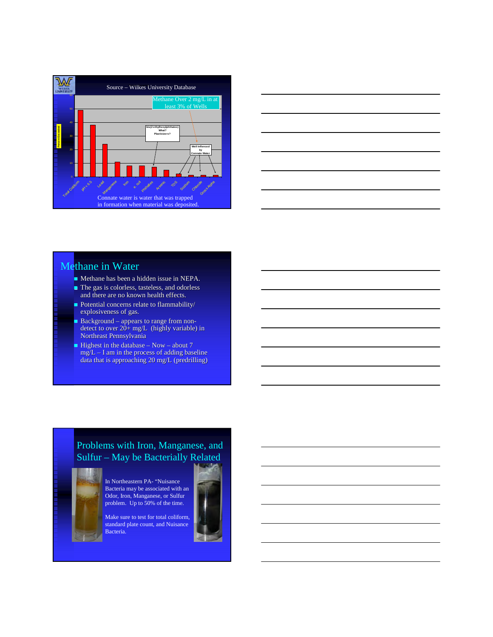



# Methane in Water

- Methane has been a hidden issue in NEPA.
- The gas is colorless, tasteless, and odorless and there are no known health effects.
- Potential concerns relate to flammability/ explosiveness of gas.
- Background appears to range from nondetect to over 20+ mg/L (highly variable) in Northeast Pennsylvania
- $\blacksquare$  Highest in the database Now about 7  $mg/L - I$  am in the process of adding baseline data that is approaching 20 mg/L (predrilling)

# Problems with Iron, Manganese, and Sulfur – May be Bacterially Related



In Northeastern PA- "Nuisance Bacteria may be associated with an Odor, Iron, Manganese, or Sulfur problem. Up to 50% of the time.

Make sure to test for total coliform, standard plate count, and Nuisance Bacteria.

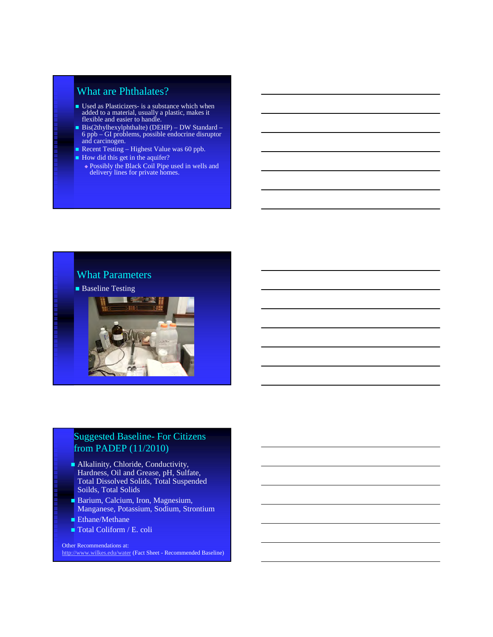# What are Phthalates?

- Used as Plasticizers- is a substance which when added to a material, usually a plastic, makes it flexible and easier to handle.
- Bis(2thylhexylphthalte) (DEHP) DW Standard 6 ppb – GI problems, possible endocrine disruptor and carcinogen.
- Recent Testing Highest Value was 60 ppb.
- How did this get in the aquifer?
	- Possibly the Black Coil Pipe used in wells and delivery lines for private homes.



# Suggested Baseline- For Citizens from PADEP (11/2010)

- Alkalinity, Chloride, Conductivity, Hardness, Oil and Grease, pH, Sulfate, Total Dissolved Solids, Total Suspended Soilds, Total Solids
- Barium, Calcium, Iron, Magnesium, Manganese, Potassium, Sodium, Strontium
- Ethane/Methane
- Total Coliform / E. coli

Other Recommendations at: http://www.wilkes.edu/water (Fact Sheet - Recommended Baseline)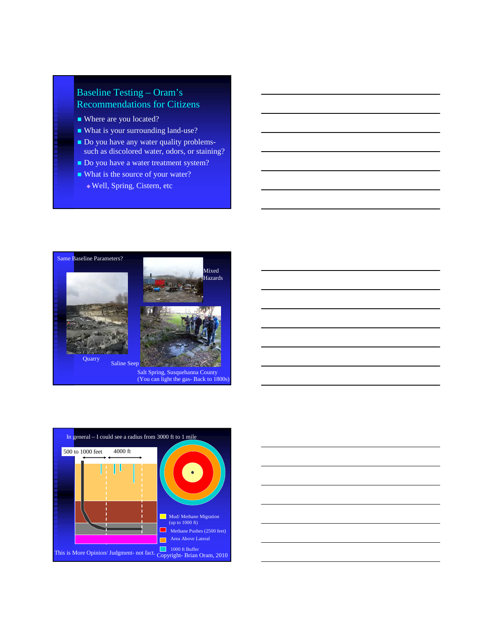# Baseline Testing – Oram's Recommendations for Citizens

- Where are you located?
- What is your surrounding land-use?
- Do you have any water quality problemssuch as discolored water, odors, or staining?
- Do you have a water treatment system?
- What is the source of your water?
	- Well, Spring, Cistern, etc





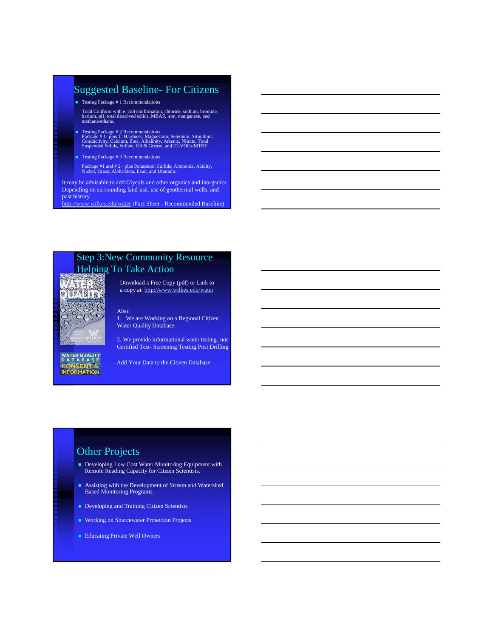# Suggested Baseline- For Citizens

- Testing Package # 1 Recommendations
- Total Coliform with e. coli confirmation, chloride, sodium, bromide, barium, pH, total dissolved solids, MBAS, iron, manganese, and methane/ethane.
- Testing Package # 2 Recommendations Package # 1- plus T. Hardness, Magnesium, Selenium, Strontium, Conductivity, Calcium, Zinc, Alkalinity, Arsenic, Nitrate, Total Suspended Solids, Sulfate, Oil & Grease, and 21-VOCs/MTBE.
- Testing Package # 3 Recommendations
- Package #1 and # 2 plus Potassium, Sulfide, Ammonia, Acidity, Nickel, Gross, Alpha/Beta, Lead, and Uranium.

It may be advisable to add Glycols and other organics and inorganics Depending on surrounding land-use, use of geothermal wells, and past history.

http://www.wilkes.edu/water (Fact Sheet - Recommended Baseline)

# Step 3:New Community Resource Helping To Take Action



WATER QUALITY<br>D A T A B A S E<br>CONSENT & **INFORMATION** 

Download a Free Copy (pdf) or Link to a copy at http://www.wilkes.edu/water

Also: 1. We are Working on a Regional Citizen Water Quality Database.

2. We provide informational water testing- not Certified Test- Screening Testing Post Drilling

Add Your Data to the Citizen Database

# Other Projects

- Developing Low Cost Water Monitoring Equipment with Remote Reading Capacity for Citizen Scientists.
- Assisting with the Development of Stream and Watershed Based Monitoring Programs.
- Developing and Training Citizen Scientists
- **Working on Sourcewater Protection Projects**
- **Educating Private Well Owners**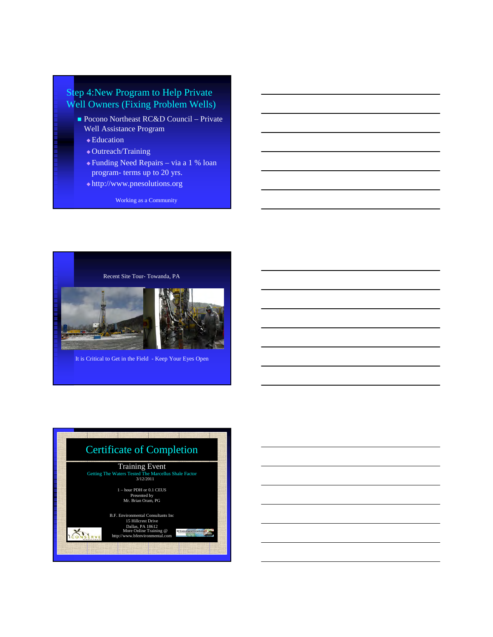# Step 4:New Program to Help Private Well Owners (Fixing Problem Wells)

- Pocono Northeast RC&D Council Private Well Assistance Program
	- ◆ Education
	- Outreach/Training
	- Funding Need Repairs via a 1 % loan program- terms up to 20 yrs.
	- http://www.pnesolutions.org

Working as a Community



It is Critical to Get in the Field - Keep Your Eyes Open

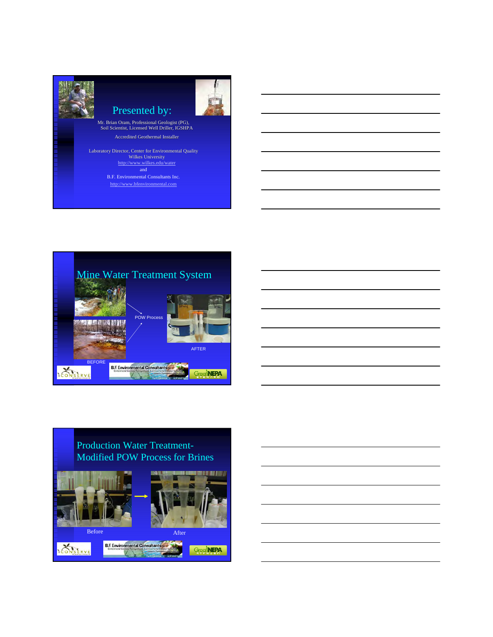



# Production Water Treatment-Modified POW Process for Brines